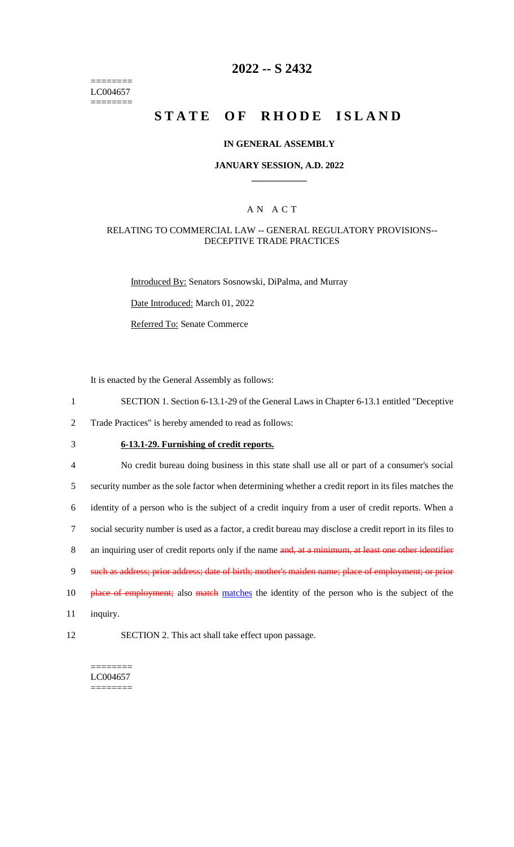======== LC004657 ========

# **2022 -- S 2432**

# **STATE OF RHODE ISLAND**

### **IN GENERAL ASSEMBLY**

### **JANUARY SESSION, A.D. 2022 \_\_\_\_\_\_\_\_\_\_\_\_**

### A N A C T

### RELATING TO COMMERCIAL LAW -- GENERAL REGULATORY PROVISIONS-- DECEPTIVE TRADE PRACTICES

Introduced By: Senators Sosnowski, DiPalma, and Murray

Date Introduced: March 01, 2022

Referred To: Senate Commerce

It is enacted by the General Assembly as follows:

1 SECTION 1. Section 6-13.1-29 of the General Laws in Chapter 6-13.1 entitled "Deceptive

2 Trade Practices" is hereby amended to read as follows:

# 3 **6-13.1-29. Furnishing of credit reports.**

 No credit bureau doing business in this state shall use all or part of a consumer's social security number as the sole factor when determining whether a credit report in its files matches the identity of a person who is the subject of a credit inquiry from a user of credit reports. When a social security number is used as a factor, a credit bureau may disclose a credit report in its files to 8 an inquiring user of credit reports only if the name and, at a minimum, at least one other identifier such as address; prior address; date of birth; mother's maiden name; place of employment; or prior 10 place of employment; also match matches the identity of the person who is the subject of the 11 inquiry.

12 SECTION 2. This act shall take effect upon passage.

======== LC004657 ========